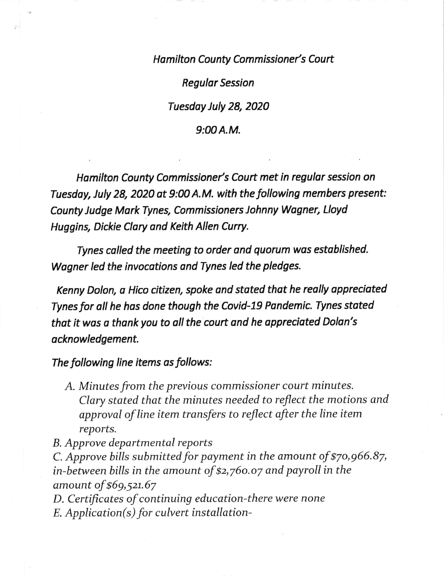Hamilton County Commissioner's Court

Regular Session

Tuesday July 28, 2020

## $9:00A.M.$

Hamilton County Commissioner's Court met in regular session on Tuesday, July 28, 2020 at 9:00 A.M. with the following members present: County Judge Mark Tynes, Commissioners Johnny Wogner, Lloyd Huggins, Dickie Clory ond Keith Allen Curry.

Tynes called the meeting to order and quorum wos established. Wogner led the invocotions ond Tynes led the pledges.

Kenny Dolon, a Hico citizen, spoke ond stated that he really oppreciated Tynes for all he has done though the Covid-19 Pandemic. Tynes stated that it was a thank you to all the court and he appreciated Dolan's acknowledgement.

The following line items as follows:

- A. Minutes from the previous commissioner court minutes. CIary stated that the minutes needed to reflect the motions and approval of line item transfers to reflect after the line item reports.
- B. Approve departmental reports

C. Approve bills submitted for payment in the amount of  $$70,966.87$ , in-between bills in the amount of \$2,76o.o7 and payroll in the amount of \$69,52t.67

D. Certificates of continuing education-there were none E. Application(s) for culvert installation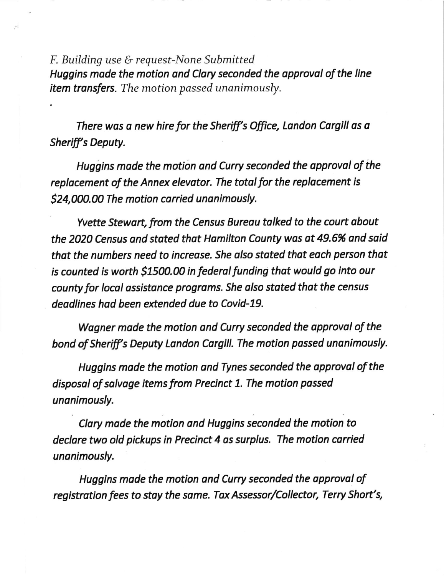F. Building use & request-None Submitted Huggins made the motion and Clary seconded the approval of the line item transfers. The motion passed unanimously.

There was a new hire for the Sheriff's Office, Landon Cargill as a Sheriff's Deputy.

Huggins made the motion and Curry seconded the approval of the replacement of the Annex elevator. The total for the replacement is \$24,000.00 The motion carried unanimously.

Yvette Stewart, from the Census Bureau talked to the court about the 2020 Census and stated that Hamilton County was at 49.6% and said that the numbers need to increase. She also stated that each person that is counted is worth \$1500.00 in federal funding that would go into our county for local assistonce programs. She olso stated that the census deadlines had been extended due to Covid-19.

Wagner made the motion and Curry seconded the approval of the bond of Sheriff's Deputy Landon Cargill. The motion passed unanimously.

Huggins made the motion and Tynes seconded the opproval of the disposal of salvage items from Precinct 1. The motion passed unanimously.

Clory mode the motion ond Huggins seconded the motion to declare two old pickups in Precinct 4 as surplus. The motion carried unanimously.

Huggins made the motion and Curry seconded the approval of registration fees to stay the same. Tax Assessor/Collector, Terry Short's,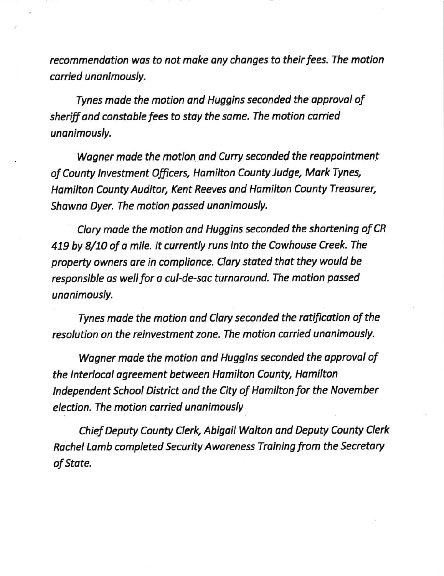recommendotion wos to not moke ony changes to their fees. The motion corried unanimously.

Tynes made the motion ond Huggins seconded the opproval of sheriff and constable fees to stay the same. The motion carried unanimously.

Wagner made the motion and Curry seconded the reappointment of County Investment Officers, Hamilton County Judge, Mark Tynes, Hamilton County Auditor, Kent Reeves and Hamilton County Treasurer, Shawna Dyer. The motion passed unanimously.

Clary made the motion and Huggins seconded the shortening of CR 419 by 8/10 of a mile. It currently runs into the Cowhouse Creek. The property owners are in compliance. Clary stated that they would be responsible as well for a cul-de-sac turnaround. The motion passed unanimously.

Tynes made the motion ond Clary seconded the rotification of the resolution on the reinvestment zone. The motion carried unanimously.

Wagner made the motion and Huggins seconded the approval of the lnterlocal agreement between Homilton County, Homilton Independent School District and the City of Hamilton for the November eledion. The motion corried unanimously

Chief Deputy County Clerk, Abigail Walton and Deputy County Clerk Rachel Lomb completed Security Aworeness Training from the Secretory of Stote.

.